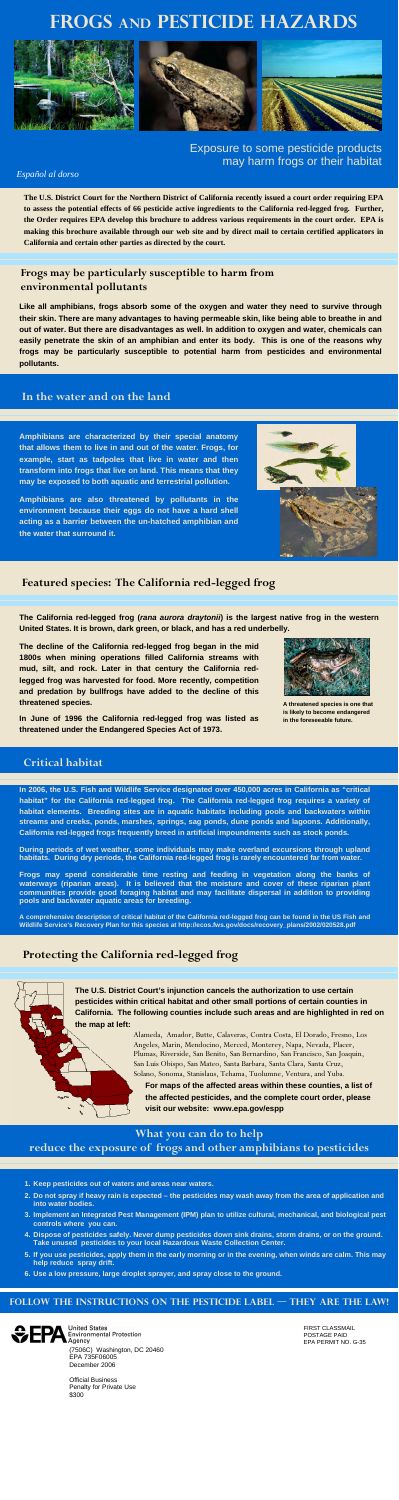# **Frogs and Pesticide Hazards**



# Exposure to some pesticide products may harm frogs or their habitat

#### *Español al dorso*

# **Frogs may be particularly susceptible to harm from environmental pollutants**

**Like all amphibians, frogs absorb some of the oxygen and water they need to survive through their skin. There are many advantages to having permeable skin, like being able to breathe in and out of water. But there are disadvantages as well. In addition to oxygen and water, chemicals can easily penetrate the skin of an amphibian and enter its body. This is one of the reasons why frogs may be particularly susceptible to potential harm from pesticides and environmental pollutants.** 

# **Featured species: The California red-legged frog**

**The California red-legged frog (***rana aurora draytonii***) is the largest native frog in the western United States. It is brown, dark green, or black, and has a red underbelly.** 

**The decline of the California red-legged frog began in the mid 1800s when mining operations filled California streams with mud, silt, and rock. Later in that century the California redlegged frog was harvested for food. More recently, competition and predation by bullfrogs have added to the decline of this threatened species.** 

**In June of 1996 the California red-legged frog was listed as threatened under the Endangered Species Act of 1973.** 

### **In the water and on the land**

**Amphibians are characterized by their special anatomy that allows them to live in and out of the water. Frogs, for example, start as tadpoles that live in water and then transform into frogs that live on land. This means that they may be exposed to both aquatic and terrestrial pollution.** 

**Amphibians are also threatened by pollutants in the environment because their eggs do not have a hard shell acting as a barrier between the un-hatched amphibian and the water that surround it.** 



**In 2006, the U.S. Fish and Wildlife Service designated over 450,000 acres in California as "critical habitat" for the California red-legged frog. The California red-legged frog requires a variety of habitat elements. Breeding sites are in aquatic habitats including pools and backwaters within streams and creeks, ponds, marshes, springs, sag ponds, dune ponds and lagoons. Additionally, California red-legged frogs frequently breed in artificial impoundments such as stock ponds.** 

**During periods of wet weather, some individuals may make overland excursions through upland habitats. During dry periods, the California red-legged frog is rarely encountered far from water.** 

**Frogs may spend considerable time resting and feeding in vegetation along the banks of waterways (riparian areas). It is believed that the moisture and cover of these riparian plant communities provide good foraging habitat and may facilitate dispersal in addition to providing pools and backwater aquatic areas for breeding.** 

**A comprehensive description of critical habitat of the California red-legged frog can be found in the US Fish and Wildlife Service's Recovery Plan for this species at http://ecos.fws.gov/docs/recovery\_plans/2002/020528.pdf** 

### **Critical habitat**

# **Protecting the California red-legged frog**

**The U.S. District Court's injunction cancels the authorization to use certain pesticides within critical habitat and other small portions of certain counties in California. The following counties include such areas and are highlighted in red on the map at left:** 

> **For maps of the affected areas within these counties, a list of the affected pesticides, and the complete court order, please visit our website: www.epa.gov/espp**

Alameda, Amador, Butte, Calaveras, Contra Costa, El Dorado, Fresno, Los Angeles, Marin, Mendocino, Merced, Monterey, Napa, Nevada, Placer, Plumas, Riverside, San Benito, San Bernardino, San Francisco, San Joaquin, San Luis Obispo, San Mateo, Santa Barbara, Santa Clara, Santa Cruz, Solano, Sonoma, Stanislaus, Tehama, Tuolumne, Ventura, and Yuba.

**A threatened species is one that is likely to become endangered in the foreseeable future.** 

**The U.S. District Court for the Northern District of California recently issued a court order requiring EPA to assess the potential effects of 66 pesticide active ingredients to the California red-legged frog. Further, the Order requires EPA develop this brochure to address various requirements in the court order. EPA is making this brochure available through our web site and by direct mail to certain certified applicators in California and certain other parties as directed by the court.** 

- **1. Keep pesticides out of waters and areas near waters.**
- **2. Do not spray if heavy rain is expected the pesticides may wash away from the area of application and into water bodies.**
- **3. Implement an Integrated Pest Management (IPM) plan to utilize cultural, mechanical, and biological pest controls where you can.**
- **4. Dispose of pesticides safely. Never dump pesticides down sink drains, storm drains, or on the ground. Take unused pesticides to your local Hazardous Waste Collection Center.**
- **5. If you use pesticides, apply them in the early morning or in the evening, when winds are calm. This may help reduce spray drift.**
- **6. Use a low pressure, large droplet sprayer, and spray close to the ground.**

**What you can do to help** 

**reduce the exposure of frogs and other amphibians to pesticides** 

#### **FOLLOW THE INSTRUCTIONS ON THE PESTICIDE Label — THEY ARE THE LAW!**



FIRST CLASSMAIL POSTAGE PAID EPA PERMIT NO. G-35

(7506C) Washington, DC 20460 EPA 735F06005 December 2006

Official Business Penalty for Private Use \$300